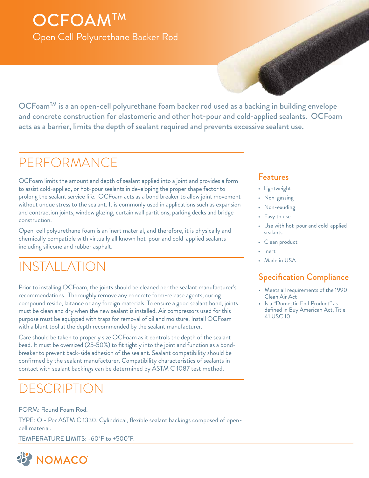## **OCFOAMTM** Open Cell Polyurethane Backer Rod

OCFoamTM is a an open-cell polyurethane foam backer rod used as a backing in building envelope and concrete construction for elastomeric and other hot-pour and cold-applied sealants. OCFoam acts as a barrier, limits the depth of sealant required and prevents excessive sealant use.

## PERFORMANCE

OCFoam limits the amount and depth of sealant applied into a joint and provides a form to assist cold-applied, or hot-pour sealants in developing the proper shape factor to prolong the sealant service life. OCFoam acts as a bond breaker to allow joint movement without undue stress to the sealant. It is commonly used in applications such as expansion and contraction joints, window glazing, curtain wall partitions, parking decks and bridge construction.

Open-cell polyurethane foam is an inert material, and therefore, it is physically and chemically compatible with virtually all known hot-pour and cold-applied sealants including silicone and rubber asphalt.

## INSTALLATION

Prior to installing OCFoam, the joints should be cleaned per the sealant manufacturer's recommendations. Thoroughly remove any concrete form-release agents, curing compound reside, laitance or any foreign materials. To ensure a good sealant bond, joints must be clean and dry when the new sealant is installed. Air compressors used for this purpose must be equipped with traps for removal of oil and moisture. Install OCFoam with a blunt tool at the depth recommended by the sealant manufacturer.

Care should be taken to properly size OCFoam as it controls the depth of the sealant bead. It must be oversized (25-50%) to fit tightly into the joint and function as a bondbreaker to prevent back-side adhesion of the sealant. Sealant compatibility should be confirmed by the sealant manufacturer. Compatibility characteristics of sealants in contact with sealant backings can be determined by ASTM C 1087 test method.

## DESCRIPTION

FORM: Round Foam Rod.

TYPE: O - Per ASTM C 1330. Cylindrical, flexible sealant backings composed of opencell material.

TEMPERATURE LIMITS: -60˚F to +500˚F.



#### Features

- Lightweight
- Non-gassing
- Non-exuding
- Easy to use
- Use with hot-pour and cold-applied sealants
- Clean product
- Inert
- Made in USA

### Specification Compliance

- Meets all requirements of the 1990 Clean Air Act
- Is a "Domestic End Product" as defined in Buy American Act, Title 41 USC 10